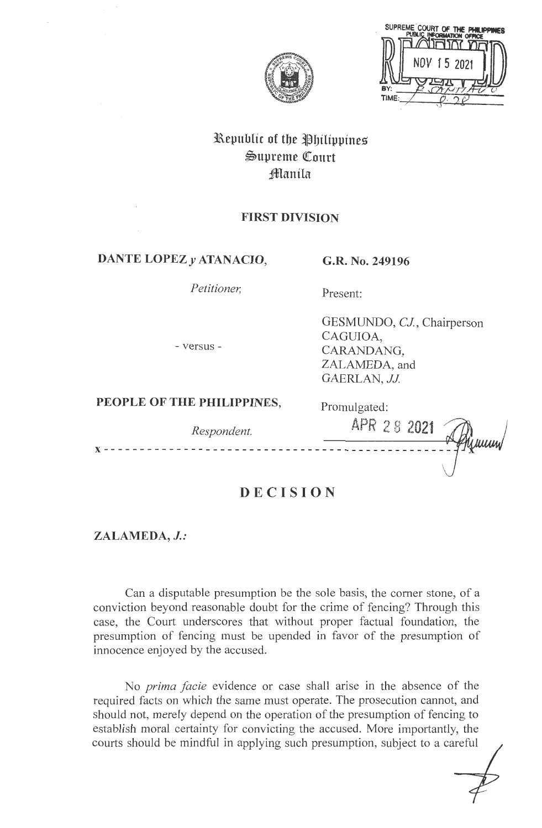

SUPREME COURT OF THE PHILIPPI TIME

# **3Republic of tbe tlbilippines**   $\mathfrak{S}$ upreme Court **;fflanila**

## **FIRST DIVISION**

## **DANTE LOPEZ y ATANACIO, G.R. No. 249196**

*Petitioner,* 

## Present:

Promulgated:

- versus -

GESMUNDO, *CJ,* Chairperson CAGUIOA, CARANDANG, ZALAMEDA, and GAERLAN, JJ.

## **PEOPLE OF THE PHILIPPINES,**

| Respondent. | ---------------<br>APR 28 2021 $\mathbb{Z}$ |
|-------------|---------------------------------------------|
|             |                                             |

# **DECISION**

**ZALAMEDA,** *J.:* 

Can a disputable presumption be the sole basis, the comer stone, of a conviction beyond reasonable doubt for the crime of fencing? Through this case, the Court underscores that without proper factual foundation, the presumption of fencing must be upended in favor of the presumption of innocence enjoyed by the accused.

No *prima facie* evidence or case shall arise in the absence of the required facts on which the same must operate. The prosecution cannot, and should not, merely depend on the operation of the presumption of fencing to establish moral certainty for convicting the accused. More importantly, the courts should be mindful in applying such presumption, subject to a careful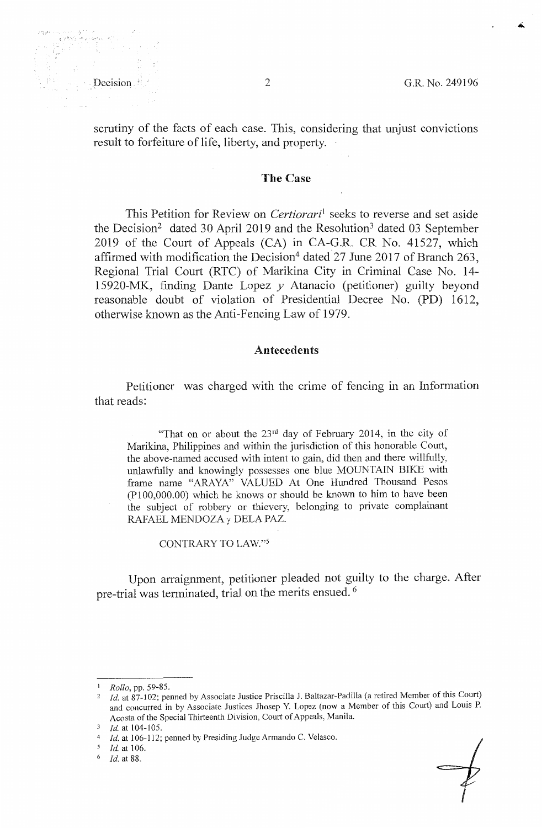scrutiny of the facts of each case. This, considering that unjust convictions result to forfeiture of life, liberty, and property.

## **The Case**

This Petition for Review on *Certiorari*<sup>1</sup> seeks to reverse and set aside the Decision<sup>2</sup> dated 30 April 2019 and the Resolution<sup>3</sup> dated 03 September 2019 of the Court of Appeals (CA) in CA-G.R. CR No. 41527, which affirmed with modification the Decision<sup>4</sup> dated 27 June 2017 of Branch 263. Regional Trial Court (RTC) of Marikina City in Criminal Case No. 14- 15920-MK, finding Dante Lopez *y* Atanacio (petitioner) guilty beyond reasonable doubt of violation of Presidential Decree No. (PD) 1612, otherwise known as the Anti-Fencing Law of 1979.

#### **Antecedents**

Petitioner was charged with the crime of fencing in an Information that reads:

"That on or about the  $23<sup>rd</sup>$  day of February 2014, in the city of Marikina, Philippines and within the jurisdiction of this honorable Court, the above-named accused with intent to gain, did then and there willfully, unlawfully and knowingly possesses one blue MOUNTAIN BIKE with frame name "ARAYA" VALUED At One Hundred Thousand Pesos (P 100,000.00) which he knows or should be known to him to have been the subject of robbery or thievery, belonging to private complainant RAFAEL MENDOZAy DELA PAZ.

CONTRARY TO LAW."5

Upon arraignment, petitioner pleaded not guilty to the charge. After pre-trial was terminated, trial on the merits ensued. <sup>6</sup>



<sup>1</sup>*Rollo,* pp. 59-85.

<sup>&</sup>lt;sup>2</sup> *Id.* at 87-102; penned by Associate Justice Priscilla J. Baltazar-Padilla (a retired Member of this Court) and concurred in by Associate Justices Jhosep Y. Lopez (now a Member of this Court) and Louis P. Acosta of the Special Thirteenth Division, Court of Appeals, Manila.

<sup>3</sup> *Id.* at 104-105.

<sup>4</sup>*Id.* at 106-112; penned by Presiding Judge Armando C. Velasco.

<sup>5</sup> Id. at 106.

<sup>&</sup>lt;sup>6</sup> *Id.* at 88.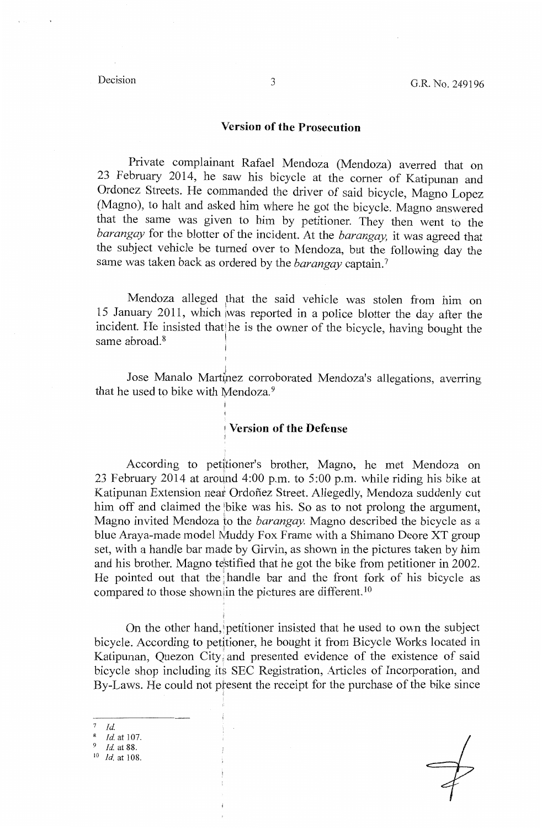#### **Version of the Prosecution**

Private complainant Rafael Mendoza (Mendoza) averred that on 23 February 2014, he saw his bicycle at the comer of Katipunan and Ordonez Streets. He commanded the driver of said bicycle, Magno Lopez (Magno), to halt and asked him where he got the bicycle. Magno answered that the same was given to him by petitioner. They then went to the *barangay* for the blotter of the incident. At the *barangay*, it was agreed that the subject vehicle be turned over to Mendoza, but the following day the same was taken back as ordered by the *barangay* captain. <sup>7</sup>

Mendoza alleged that the said vehicle was stolen from him on 15 January 2011, which was reported in a police blotter the day after the incident. He insisted that he is the owner of the bicycle, having bought the same abroad.<sup>8</sup>  $\mathbf{I}$ 

Jose Manalo Martinez corroborated Mendoza's allegations, averring that he used to bike with Mendoza. $9$ 

### **Version of the Defense**

I

According to petitioner's brother, Magno, he met Mendoza on 23 February 2014 at around 4:00 p.m. to 5:00 p.m. while riding his bike at Katipunan Extension near Ordoñez Street. Allegedly, Mendoza suddenly cut him off and claimed the bike was his. So as to not prolong the argument, Magno invited Mendoza to the *barangay*. Magno described the bicycle as a blue Araya-made model Muddy Fox Frame with a Shimano Deore XT group set, with a handle bar made by Girvin, as shown in the pictures taken by him and his brother. Magno testified that he got the bike from petitioner in 2002. He pointed out that the handle bar and the front fork of his bicycle as compared to those showniin the pictures are different. <sup>10</sup>

On the other hand, petitioner insisted that he used to own the subject bicycle. According to petitioner, he bought it from Bicycle Works located in Katipunan, Quezon City and presented evidence of the existence of said bicycle shop including its SEC Registration, Articles of Incorporation, and By-Laws. He could not present the receipt for the purchase of the bike since

- $\begin{array}{cc} 7 & Id. \\ 8 & I. \end{array}$
- <sup>8</sup>*id.* at 107.
- 9 *id.* at 88.
- 10 *id.* at 108.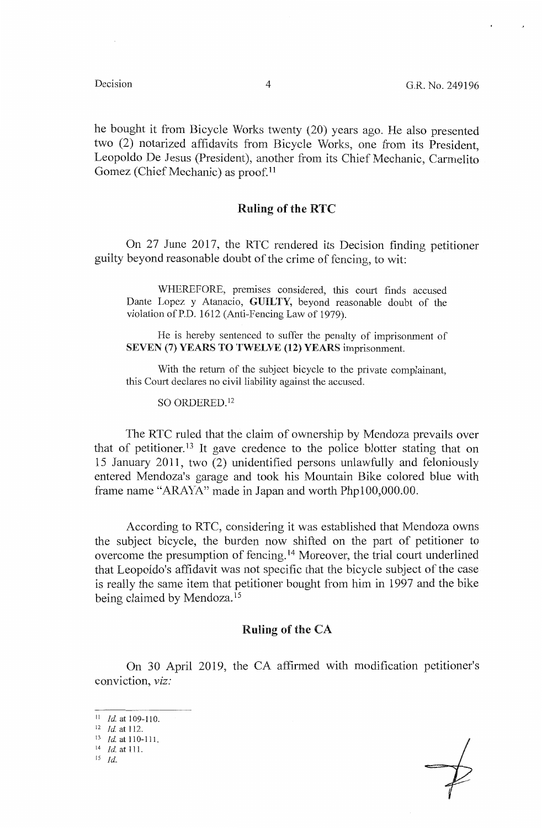he bought it from Bicycle Works twenty (20) years ago. He also presented two (2) notarized affidavits from Bicycle Works, one from its President, Leopoldo De Jesus (President), another from its Chief Mechanic, Carmelito Gomez (Chief Mechanic) as proof.<sup>11</sup>

## **Ruling of the RTC**

On 27 June 2017, the RTC rendered its Decision finding petitioner guilty beyond reasonable doubt of the crime of fencing, to wit:

WHEREFORE, premises considered, this court finds accused Dante Lopez y Atanacio, **GUILTY,** beyond reasonable doubt of the violation of P.D. 1612 (Anti-Fencing Law of 1979).

He is hereby sentenced to suffer the penalty of imprisonment of **SEVEN (7) YEARS TO TWELVE (12) YEARS** imprisonment.

With the return of the subject bicycle to the private complainant, this Court declares no civil liability against the accused.

SO ORDERED. <sup>12</sup>

The RTC ruled that the claim of ownership by Mendoza prevails over that of petitioner.<sup>13</sup> It gave credence to the police blotter stating that on 15 January 2011, two (2) unidentified persons unlawfully and feloniously entered Mendoza's garage and took his Mountain Bike colored blue with frame name "ARAYA" made in Japan and worth Phpl00,000.00.

According to RTC, considering it was established that Mendoza owns the subject bicycle, the burden now shifted on the part of petitioner to overcome the presumption of fencing. 14 Moreover, the trial court underlined that Leopoldo's affidavit was not specific that the bicycle subject of the case is really the same item that petitioner bought from him in 1997 and the bike being claimed by Mendoza. <sup>15</sup>

### **Ruling of the CA**

On 30 April 2019, the CA affirmed with modification petitioner's conviction, *viz:* 

<sup>11</sup>*Id* at 109-110. 12 *Id* at 112.

<sup>&</sup>lt;sup>13</sup> *Id.* at 110-111.<br><sup>14</sup> *Id.* at 111.

ls *Id.*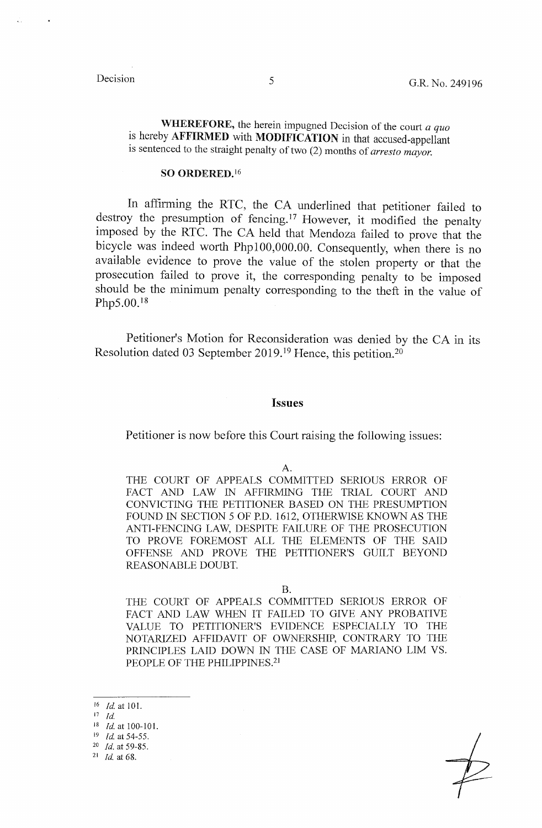**WHEREFORE,** the herein impugned Decision of the court *a quo*  is hereby **AFFIRMED** with **MODIFICATION** in that accused-appellant is sentenced to the straight penalty of two (2) months of *arresto mayor.* 

#### **SO ORDERED. 16**

In affirming the RTC, the CA underlined that petitioner failed to destroy the presumption of fencing.<sup>17</sup> However, it modified the penalty imposed by the RTC. The CA held that Mendoza failed to prove that the bicycle was indeed worth Phpl00,000.00. Consequently, when there is no available evidence to prove the value of the stolen property or that the prosecution failed to prove it, the corresponding penalty to be imposed should be the minimum penalty corresponding to the theft in the value of Php5.00.<sup>18</sup>

Petitioner's Motion for Reconsideration was denied by the CA in its Resolution dated 03 September 2019.<sup>19</sup> Hence, this petition.<sup>20</sup>

#### **Issues**

Petitioner is now before this Court raising the following issues:

#### A.

THE COURT OF APPEALS COMMITTED SERIOUS ERROR OF FACT AND LAW IN AFFIRMING THE TRIAL COURT AND CONVICTING THE PETITIONER BASED ON THE PRESUMPTION FOUND IN SECTION 5 OF P.D. 1612, OTHERWISE KNOWN AS THE ANTI-FENCING LAW, DESPITE FAILURE OF THE PROSECUTION TO PROVE FOREMOST ALL THE ELEMENTS OF THE SAID OFFENSE AND PROVE THE PETITIONER'S GUILT BEYOND REASONABLE DOUBT.

B.

THE COURT OF APPEALS COMMITTED SERJOUS ERROR OF FACT AND LAW WHEN IT FAILED TO GIVE ANY PROBATIVE VALUE TO PETITIONER'S EVIDENCE ESPECIALLY TO THE NOTARIZED AFFIDAVIT OF OWNERSHIP, CONTRARY TO THE PRINCIPLES LAID DOWN IN THE CASE OF MARIANO LIM VS. PEOPLE OF THE PHILIPPINES.<sup>21</sup>

<sup>16</sup>*Id* at 101.

 $17$  *Id.* 

<sup>18</sup>*Id.* at 100-101. 19 *Id.* at 54-55.

<sup>20</sup>*Id.* at 59-85. 21 *Id* at 68.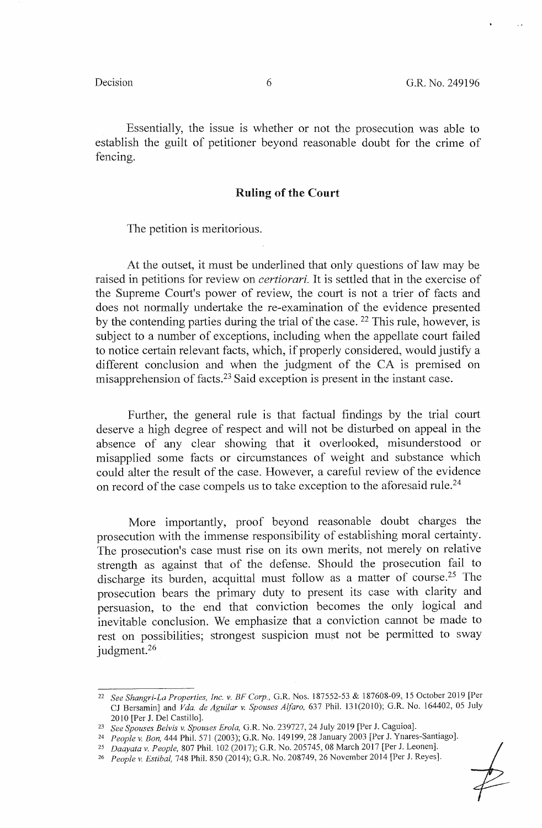Essentially, the issue is whether or not the prosecution was able to establish the guilt of petitioner beyond reasonable doubt for the crime of fencing.

## **Ruling of the Court**

The petition is meritorious.

At the outset, it must be underlined that only questions of law may be raised in petitions for review on *certiorari.* It is settled that in the exercise of the Supreme Court's power of review, the court is not a trier of facts and does not normally undertake the re-examination of the evidence presented by the contending parties during the trial of the case. <sup>22</sup> This rule, however, is subject to a number of exceptions, including when the appellate court failed to notice certain relevant facts, which, if properly considered, would justify a different conclusion and when the judgment of the CA is premised on misapprehension of facts.<sup>23</sup> Said exception is present in the instant case.

Further, the general rule is that factual findings by the trial court deserve a high degree of respect and will not be disturbed on appeal in the absence of any clear showing that it overlooked, misunderstood or misapplied some facts or circumstances of weight and substance which could alter the result of the case. However, a careful review of the evidence on record of the case compels us to take exception to the aforesaid rule.24

More importantly, proof beyond reasonable doubt charges the prosecution with the immense responsibility of establishing moral certainty. The prosecution's case must rise on its own merits, not merely on relative strength as against that of the defense. Should the prosecution fail to discharge its burden, acquittal must follow as a matter of course.25 The prosecution bears the primary duty to present its case with clarity and persuasion, to the end that conviction becomes the only logical and inevitable conclusion. We emphasize that a conviction cannot be made to rest on possibilities; strongest suspicion must not be permitted to sway judgment.<sup>26</sup>

<sup>22</sup>*See Shangri-La Properties, Inc. v. BF Corp.,* G.R. Nos. 187552-53 & 187608-09, 15 October 2019 [Per CJ Bersamin] and *V da. de Aguilar v. Spouses Alfaro,* 637 Phil. 131(2010); G.R. No. 164402, 05 July 2010 [Per J. Del Castillo].

<sup>23</sup>*See Spouses Belvis v. Spouses Erola,* G.R. No. 239727, 24 July 2019 [Per **J.** Caguioa].

<sup>24</sup>*People v. Bon,* 444 Phil. 571 (2003); G.R. No. 149199, 28 January 2003 [Per **J.** Ynares-Santiago].

<sup>25</sup>*Daayatav. People,* 807 Phil. 102 (2017); G.R. No. 205745, 08 March 2017 [Per J. Leonen].

<sup>26</sup> *People v. Estibal,* 748 Phil. 850 (2014); G.R. No. 208749, 26 November 2014 [Per J. Reyes].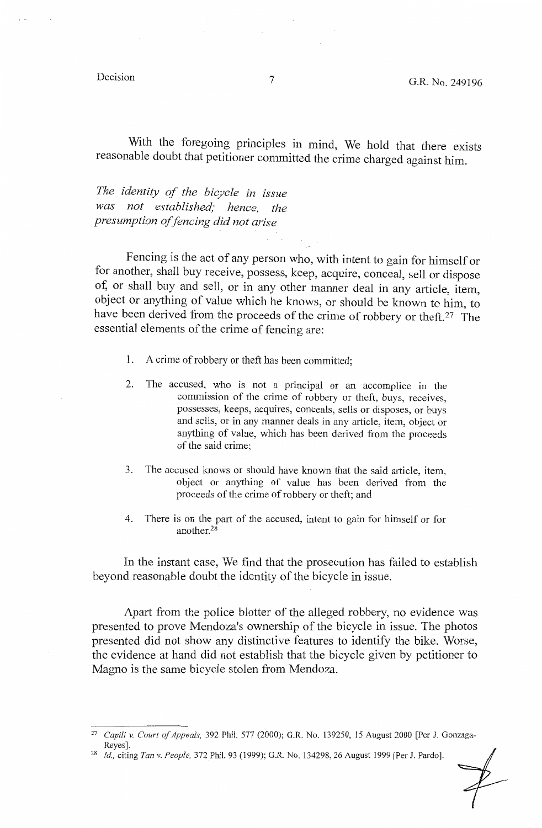With the foregoing principles in mind, We hold that there exists reasonable doubt that petitioner committed the crime charged against him.

*The identity of the bicycle in issue was not established; hence, the presumption of fencing did not arise* 

Fencing is the act of any person who, with intent to gain for himself or for another, shall buy receive, possess, keep, acquire, conceal, sell or dispose of, or shall buy and sell, or in any other manner deal in any article, item, object or anything of value which he knows, or should be known to him, to have been derived from the proceeds of the crime of robbery or theft.27 The essential elements of the crime of fencing are:

- 1. A crime of robbery or theft has been committed;
- 2. The accused, who is not a principal or an accomplice in the commission of the crime of robbery or theft, buys, receives, possesses, keeps, acquires, conceals, sells or disposes, or buys and sells, or in any manner deals in any article, item, object or anything of value, which has been derived from the proceeds of the said crime;
- 3. The accused knows or should have known that the said article, item, object or anything of value has been derived from the proceeds of the crime ofrobbery or theft; and
- 4. There is on the part of the accused, intent to gain for himself or for another.28

In the instant case, We find that the prosecution has failed to establish beyond reasonable doubt the identity of the bicycle in issue.

Apart from the police blotter of the alleged robbery, no evidence was presented to prove Mendoza's ownership of the bicycle in issue. The photos presented did not show any distinctive features to identify the bike. Worse, the evidence at hand did not establish that the bicycle given by petitioner to Magno is the same bicycle stolen from Mendoza.

<sup>27</sup> *Capili v. Court of Appeais,* 392 Phil. 577 (2000); G.R. No. 139250, 15 August 2000 [Per J. Gonzaga-

<sup>&</sup>lt;sup>28</sup> *Id., citing Tan v. People, 372 Phil. 93 (1999); G.R. No. 134298, 26 August 1999 [Per J. Pardo].*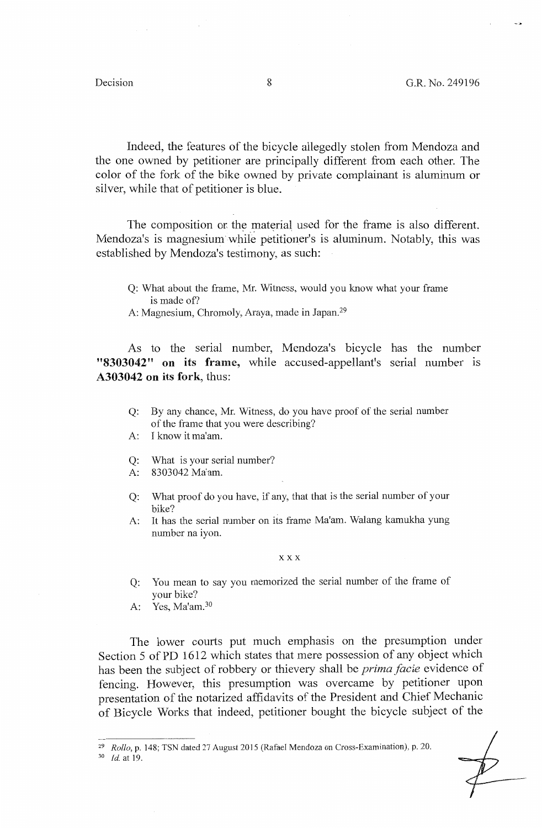Indeed, the features of the bicycle allegedly stolen from Mendoza and the one owned by petitioner are principally different from each other. The color of the fork of the bike owned by private complainant is aluminum or silver, while that of petitioner is blue.

The composition or the material used for the frame is also different. Mendoza's is magnesium while petitioner's is aluminum. Notably, this was established by Mendoza's testimony, as such:

- Q: What about the frame, Mr. Witness, would you know what your frame is made of?
- A: Magnesium, Chromoly, Araya, made in Japan.<sup>29</sup>

As to the serial number, Mendoza's bicycle has the number **"8303042" on its frame,** while accused-appellant's serial number is **A303042 on its fork,** thus:

- **Q:** By any chance, Mr. Witness, do you have proof of the serial number of the frame that you were describing?
- A: I know it ma'am.
- Q: What is your serial number?
- A: 8303042 Ma'am.
- **Q:** What proof do you have, if any, that that is the serial number of your bike?
- A: It has the serial number on its frame Ma'am. Walang kamukha yung number na iyon.

#### **XXX**

- Q: You mean to say you memorized the serial number of the frame of your bike?
- A: Yes, Ma'am.<sup>30</sup>

The lower courts put much emphasis on the presumption under Section 5 of PD 1612 which states that mere possession of any object which has been the subject of robbery or thievery shall be *prima facie* evidence of fencing. However, this presumption was overcame by petitioner upon presentation of the notarized affidavits of the President and Chief Mechanic of Bicycle Works that indeed, petitioner bought the bicycle subject of the

<sup>29</sup>*Rollo,* p. 148; TSN dated 27 August 2015 (Rafael Mendoza on Cross-Examination), p. 20. 30 *Id.* at 19.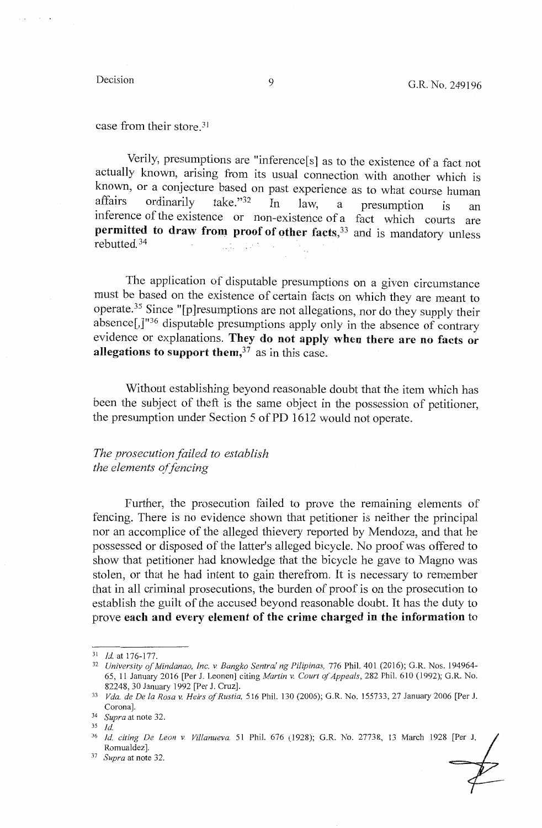$\alpha$  and  $\alpha$  . The  $\alpha$ 

case from their store.<sup>31</sup>

Verily, presumptions are "inference[s] as to the existence of a fact not actually known, arising from its usual connection with another which is known, or a conjecture based on past experience as to what course human affairs ordinarily take." $32 \text{ In}$  law a presumption is an affairs ordinarily take."<sup>32</sup> In law, a presumption is an inference of the existence or non-existence of a fact which courts are **permitted to draw from proof of other facts, <sup>33</sup> and is mandatory unless** rebutted. 34 교학 i pr

The application of disputable presumptions on a given circumstance must be based on the existence of certain facts on which they are meant to operate.35 Since "[p]resumptions are not allegations, nor do they supply their absence[,]"<sup>36</sup> disputable presumptions apply only in the absence of contrary evidence or explanations. **They do not apply when there are no facts or allegations to support them,37** as in this case.

Without establishing beyond reasonable doubt that the item which has been the subject of theft is the same object in the possession of petitioner, the presumption under Section 5 of PD 1612 would not operate.

*The prosecution failed to establish the elements of fencing* 

Further, the prosecution failed to prove the remaining elements of fencing. There is no evidence shown that petitioner is neither the principal nor an accomplice of the alleged thievery reported by Mendoza, and that he possessed or disposed of the latter's alleged bicycle. No proof was offered to show that petitioner had knowledge that the bicycle he gave to Magno was stolen, or that he had intent to gain therefrom. It is necessary to remember that in all criminal prosecutions, the burden of proof is on the prosecution to establish the guilt of the accused beyond reasonable doubt. It has the duty to prove **each and every element of the crime charged in the information** to

<sup>&</sup>lt;sup>31</sup> Id. at 176-177.<br><sup>32</sup> *University of Mindanao, Inc. v. Bangko Sentral ng Pilipinas, 776 Phil. 401 (2016); G.R. Nos. 194964-*65, 11 January 2016 [Per J. Leonen] citing *Martin v. Court a/Appeals,* 282 Phil. 610 (1992); G.R. No.

<sup>82248, 30</sup> January 1992 [Per J. Cruz]. 33 *Vda. de De la Rosa v. Heirs of Rustia,* 516 Phil. 130 (2006); G.R. No. 155733, 27 January 2006 [Per J. Corona]. 34 *Supra* at note 32.

<sup>3</sup>s *Id.* 

<sup>36</sup>*Id. citing De Leon v Villanueva,* 51 Phil. 676 (1928); G.R. No. 27738, 13 March 1928 [Per J. Romualdez]. 37 *Supra* at note 32.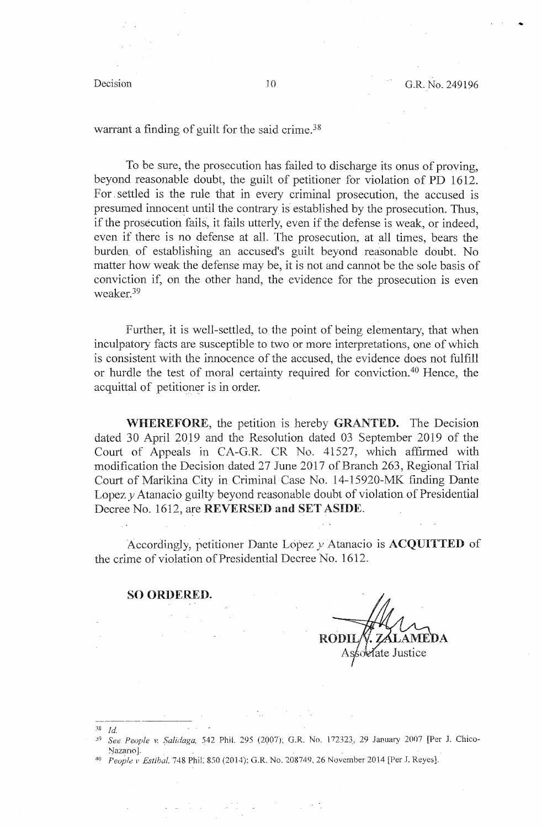warrant a finding of guilt for the said crime.<sup>38</sup>

To be sure, the prosecution has failed to discharge its onus of proving, beyond reasonable doubt, the guilt of petitioner for violation of PD 1612. For. settled is the rule that in every criminal prosecution, the accused is presumed innocent until the contrary is established by the prosecution. Thus, if the prosecution fails, it fails utterly, even if the defense is weak, or indeed, even if there is no defense at all. The prosecution, at all times, bears the burden of establishing an accused's guilt beyond reasonable doubt. No matter how weak the defense may be, it is not and cannot be the sole basis of conviction if, on the other hand, the evidence for the prosecution is even weaker.39

Further, it is well-settled, to the point of being elementary, that when inculpatory facts are susceptible to two or more interpretations, one of which is consistent with the innocence of the accused, the evidence does not fulfill or hurdle the test of moral certainty required for conviction.<sup>40</sup> Hence, the acquittal of petitioner is in order.

**WHEREFORE,** the petition is hereby **GRANTED.** The Decision dated 30 April 2019 and the Resolution dated 03 September 2019 of the Court of Appeals in CA-G.R. CR No. 41527, which affirmed with modification the Decision dated 27 June 2017 of Branch 263, Regional Trial Court of Marikina City in Criminal Case No. 14-15920-MK finding Dante Lopez  $\nu$  Atanacio guilty beyond reasonable doubt of violation of Presidential Decree No. 1612, are REVERSED and SET ASIDE.

Accordingly, petitioner Dante Lopez *y* Atanacio is **ACQUITTED** of the crime of violation of Presidential Decree No. 1612.

#### **SO ORDERED.**

-·---------

RODI ate Justice

- 38 *Jd.*  <sup>39</sup> See People v. Salidaga, 542 Phil. 295 (2007); G.R. No. 172323, 29 January 2007 [Per J. Chico-Nazario].<br><sup>40</sup> *Feople v Estibal.* 748 Phil. 850 (2014); G.R. No. 208749, 26 November 2014 [Per J. Reyes].
-